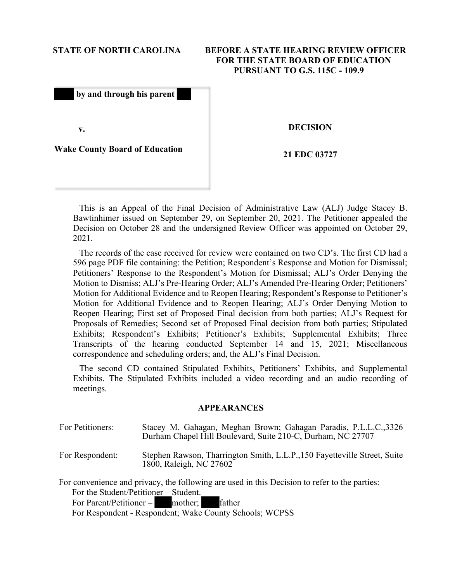## **STATE OF NORTH CAROLINA BEFORE A STATE HEARING REVIEW OFFICER FOR THE STATE BOARD OF EDUCATION PURSUANT TO G.S. 115C - 109.9**

| by and through his parent             |  |
|---------------------------------------|--|
| v.                                    |  |
| <b>Wake County Board of Education</b> |  |
|                                       |  |

**DECISION**

**21 EDC 03727** 

This is an Appeal of the Final Decision of Administrative Law (ALJ) Judge Stacey B. Bawtinhimer issued on September 29, on September 20, 2021. The Petitioner appealed the Decision on October 28 and the undersigned Review Officer was appointed on October 29, 2021.

The records of the case received for review were contained on two CD's. The first CD had a 596 page PDF file containing: the Petition; Respondent's Response and Motion for Dismissal; Petitioners' Response to the Respondent's Motion for Dismissal; ALJ's Order Denying the Motion to Dismiss; ALJ's Pre-Hearing Order; ALJ's Amended Pre-Hearing Order; Petitioners' Motion for Additional Evidence and to Reopen Hearing; Respondent's Response to Petitioner's Motion for Additional Evidence and to Reopen Hearing; ALJ's Order Denying Motion to Reopen Hearing; First set of Proposed Final decision from both parties; ALJ's Request for Proposals of Remedies; Second set of Proposed Final decision from both parties; Stipulated Exhibits; Respondent's Exhibits; Petitioner's Exhibits; Supplemental Exhibits; Three Transcripts of the hearing conducted September 14 and 15, 2021; Miscellaneous correspondence and scheduling orders; and, the ALJ's Final Decision.

The second CD contained Stipulated Exhibits, Petitioners' Exhibits, and Supplemental Exhibits. The Stipulated Exhibits included a video recording and an audio recording of meetings.

## **APPEARANCES**

| For Petitioners: | Stacey M. Gahagan, Meghan Brown; Gahagan Paradis, P.L.L.C., 3326<br>Durham Chapel Hill Boulevard, Suite 210-C, Durham, NC 27707 |
|------------------|---------------------------------------------------------------------------------------------------------------------------------|
| For Respondent:  | Stephen Rawson, Tharrington Smith, L.L.P., 150 Fayetteville Street, Suite<br>1800, Raleigh, NC 27602                            |
|                  | For convenience and privacy, the following are used in this Decision to refer to the parties:                                   |
|                  | For the Student/Petitioner – Student.                                                                                           |
|                  | For Parent/Petitioner – mother;<br>father                                                                                       |

For Respondent - Respondent; Wake County Schools; WCPSS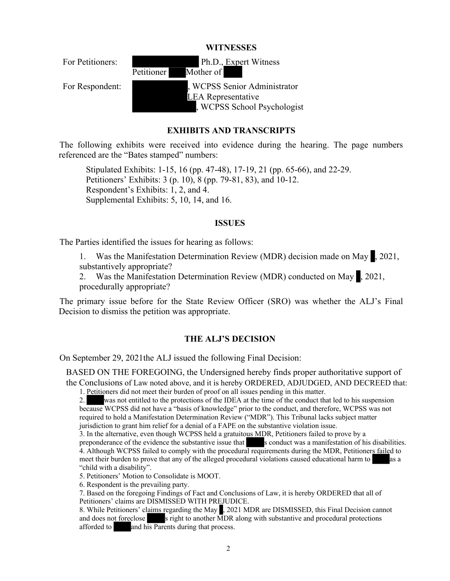### **WITNESSES**



# **EXHIBITS AND TRANSCRIPTS**

The following exhibits were received into evidence during the hearing. The page numbers referenced are the "Bates stamped" numbers:

Stipulated Exhibits: 1-15, 16 (pp. 47-48), 17-19, 21 (pp. 65-66), and 22-29. Petitioners' Exhibits: 3 (p. 10), 8 (pp. 79-81, 83), and 10-12. Respondent's Exhibits: 1, 2, and 4. Supplemental Exhibits: 5, 10, 14, and 16.

## **ISSUES**

The Parties identified the issues for hearing as follows:

1. Was the Manifestation Determination Review (MDR) decision made on May , 2021, substantively appropriate?

2. Was the Manifestation Determination Review (MDR) conducted on May , 2021, procedurally appropriate?

The primary issue before for the State Review Officer (SRO) was whether the ALJ's Final Decision to dismiss the petition was appropriate.

# **THE ALJ'S DECISION**

On September 29, 2021the ALJ issued the following Final Decision:

BASED ON THE FOREGOING, the Undersigned hereby finds proper authoritative support of the Conclusions of Law noted above, and it is hereby ORDERED, ADJUDGED, AND DECREED that:

1. Petitioners did not meet their burden of proof on all issues pending in this matter.

2. was not entitled to the protections of the IDEA at the time of the conduct that led to his suspension because WCPSS did not have a "basis of knowledge" prior to the conduct, and therefore, WCPSS was not required to hold a Manifestation Determination Review ("MDR"). This Tribunal lacks subject matter jurisdiction to grant him relief for a denial of a FAPE on the substantive violation issue.

3. In the alternative, even though WCPSS held a gratuitous MDR, Petitioners failed to prove by a preponderance of the evidence the substantive issue that s conduct was a manifestation of his disabilities. 4. Although WCPSS failed to comply with the procedural requirements during the MDR, Petitioners failed to meet their burden to prove that any of the alleged procedural violations caused educational harm to as a "child with a disability".

5. Petitioners' Motion to Consolidate is MOOT.

6. Respondent is the prevailing party.

7. Based on the foregoing Findings of Fact and Conclusions of Law, it is hereby ORDERED that all of Petitioners' claims are DISMISSED WITH PREJUDICE.

8. While Petitioners' claims regarding the May , 2021 MDR are DISMISSED, this Final Decision cannot and does not foreclose s right to another MDR along with substantive and procedural protections afforded to and his Parents during that process.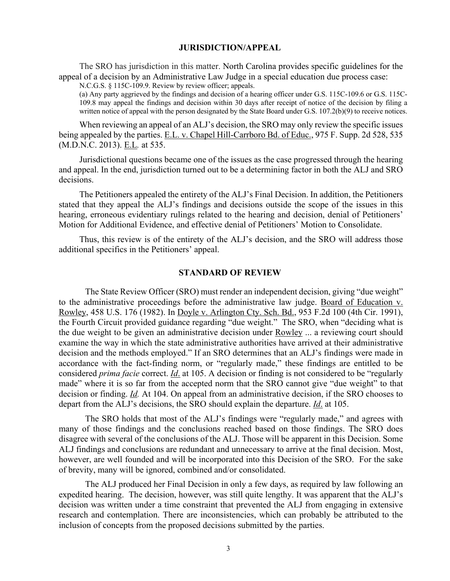#### **JURISDICTION/APPEAL**

The SRO has jurisdiction in this matter. North Carolina provides specific guidelines for the appeal of a decision by an Administrative Law Judge in a special education due process case:

N.C.G.S. § 115C-109.9. Review by review officer; appeals.

(a) Any party aggrieved by the findings and decision of a hearing officer under G.S. 115C-109.6 or G.S. 115C-109.8 may appeal the findings and decision within 30 days after receipt of notice of the decision by filing a written notice of appeal with the person designated by the State Board under G.S. 107.2(b)(9) to receive notices.

When reviewing an appeal of an ALJ's decision, the SRO may only review the specific issues being appealed by the parties. E.L. v. Chapel Hill-Carrboro Bd. of Educ., 975 F. Supp. 2d 528, 535 (M.D.N.C. 2013). E.L*.* at 535.

Jurisdictional questions became one of the issues as the case progressed through the hearing and appeal. In the end, jurisdiction turned out to be a determining factor in both the ALJ and SRO decisions.

The Petitioners appealed the entirety of the ALJ's Final Decision. In addition, the Petitioners stated that they appeal the ALJ's findings and decisions outside the scope of the issues in this hearing, erroneous evidentiary rulings related to the hearing and decision, denial of Petitioners' Motion for Additional Evidence, and effective denial of Petitioners' Motion to Consolidate.

Thus, this review is of the entirety of the ALJ's decision, and the SRO will address those additional specifics in the Petitioners' appeal.

#### **STANDARD OF REVIEW**

The State Review Officer (SRO) must render an independent decision, giving "due weight" to the administrative proceedings before the administrative law judge. Board of Education v. Rowley, 458 U.S. 176 (1982). In Doyle v. Arlington Cty. Sch. Bd., 953 F.2d 100 (4th Cir. 1991), the Fourth Circuit provided guidance regarding "due weight." The SRO, when "deciding what is the due weight to be given an administrative decision under Rowley ... a reviewing court should examine the way in which the state administrative authorities have arrived at their administrative decision and the methods employed." If an SRO determines that an ALJ's findings were made in accordance with the fact-finding norm, or "regularly made," these findings are entitled to be considered *prima facie* correct. *Id*. at 105. A decision or finding is not considered to be "regularly made" where it is so far from the accepted norm that the SRO cannot give "due weight" to that decision or finding. *Id.* At 104. On appeal from an administrative decision, if the SRO chooses to depart from the ALJ's decisions, the SRO should explain the departure. *Id*. at 105.

The SRO holds that most of the ALJ's findings were "regularly made," and agrees with many of those findings and the conclusions reached based on those findings. The SRO does disagree with several of the conclusions of the ALJ. Those will be apparent in this Decision. Some ALJ findings and conclusions are redundant and unnecessary to arrive at the final decision. Most, however, are well founded and will be incorporated into this Decision of the SRO. For the sake of brevity, many will be ignored, combined and/or consolidated.

The ALJ produced her Final Decision in only a few days, as required by law following an expedited hearing. The decision, however, was still quite lengthy. It was apparent that the ALJ's decision was written under a time constraint that prevented the ALJ from engaging in extensive research and contemplation. There are inconsistencies, which can probably be attributed to the inclusion of concepts from the proposed decisions submitted by the parties.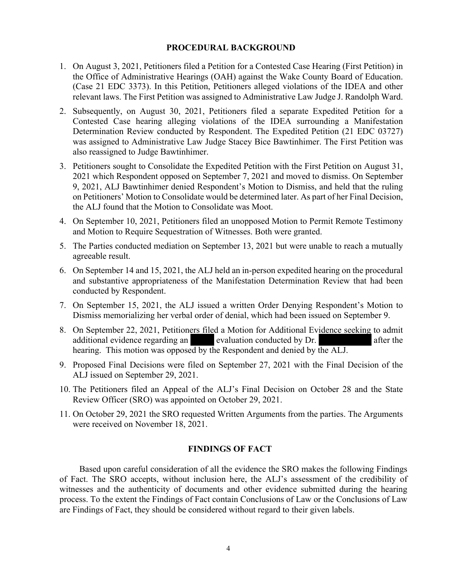### **PROCEDURAL BACKGROUND**

- 1. On August 3, 2021, Petitioners filed a Petition for a Contested Case Hearing (First Petition) in the Office of Administrative Hearings (OAH) against the Wake County Board of Education. (Case 21 EDC 3373). In this Petition, Petitioners alleged violations of the IDEA and other relevant laws. The First Petition was assigned to Administrative Law Judge J. Randolph Ward.
- 2. Subsequently, on August 30, 2021, Petitioners filed a separate Expedited Petition for a Contested Case hearing alleging violations of the IDEA surrounding a Manifestation Determination Review conducted by Respondent. The Expedited Petition (21 EDC 03727) was assigned to Administrative Law Judge Stacey Bice Bawtinhimer. The First Petition was also reassigned to Judge Bawtinhimer.
- 3. Petitioners sought to Consolidate the Expedited Petition with the First Petition on August 31, 2021 which Respondent opposed on September 7, 2021 and moved to dismiss. On September 9, 2021, ALJ Bawtinhimer denied Respondent's Motion to Dismiss, and held that the ruling on Petitioners' Motion to Consolidate would be determined later. As part of her Final Decision, the ALJ found that the Motion to Consolidate was Moot.
- 4. On September 10, 2021, Petitioners filed an unopposed Motion to Permit Remote Testimony and Motion to Require Sequestration of Witnesses. Both were granted.
- 5. The Parties conducted mediation on September 13, 2021 but were unable to reach a mutually agreeable result.
- 6. On September 14 and 15, 2021, the ALJ held an in-person expedited hearing on the procedural and substantive appropriateness of the Manifestation Determination Review that had been conducted by Respondent.
- 7. On September 15, 2021, the ALJ issued a written Order Denying Respondent's Motion to Dismiss memorializing her verbal order of denial, which had been issued on September 9.
- 8. On September 22, 2021, Petitioners filed a Motion for Additional Evidence seeking to admit additional evidence regarding an evaluation conducted by Dr. after the hearing. This motion was opposed by the Respondent and denied by the ALJ.
- 9. Proposed Final Decisions were filed on September 27, 2021 with the Final Decision of the ALJ issued on September 29, 2021.
- 10. The Petitioners filed an Appeal of the ALJ's Final Decision on October 28 and the State Review Officer (SRO) was appointed on October 29, 2021.
- 11. On October 29, 2021 the SRO requested Written Arguments from the parties. The Arguments were received on November 18, 2021.

## **FINDINGS OF FACT**

Based upon careful consideration of all the evidence the SRO makes the following Findings of Fact. The SRO accepts, without inclusion here, the ALJ's assessment of the credibility of witnesses and the authenticity of documents and other evidence submitted during the hearing process. To the extent the Findings of Fact contain Conclusions of Law or the Conclusions of Law are Findings of Fact, they should be considered without regard to their given labels.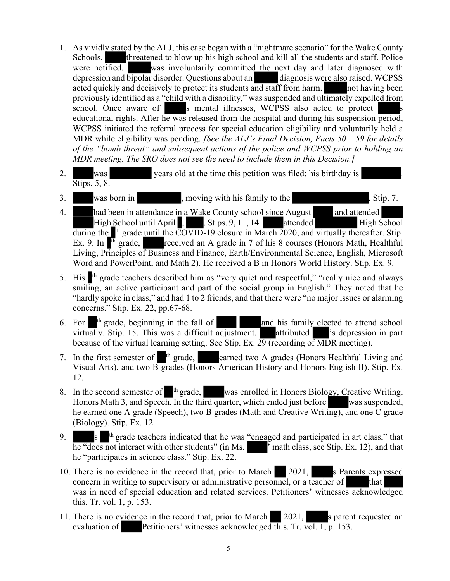- 1. As vividly stated by the ALJ, this case began with a "nightmare scenario" for the Wake County Schools. threatened to blow up his high school and kill all the students and staff. Police were notified. was involuntarily committed the next day and later diagnosed with depression and bipolar disorder. Questions about an diagnosis were also raised. WCPSS acted quickly and decisively to protect its students and staff from harm. not having been previously identified as a "child with a disability," was suspended and ultimately expelled from school. Once aware of s mental illnesses, WCPSS also acted to protect educational rights. After he was released from the hospital and during his suspension period, WCPSS initiated the referral process for special education eligibility and voluntarily held a MDR while eligibility was pending. *[See the ALJ's Final Decision, Facts 50 – 59 for details of the "bomb threat" and subsequent actions of the police and WCPSS prior to holding an MDR meeting. The SRO does not see the need to include them in this Decision.]*
- 2. was vears old at the time this petition was filed; his birthday is Stips. 5, 8.
- 3. was born in , moving with his family to the . Stip. 7.
- 4. had been in attendance in a Wake County school since August and attended High School until April , . Stips. 9, 11, 14. attended High School during the <sup>th</sup> grade until the  $\overline{\text{COVID}}$ -19 closure in March 2020, and virtually thereafter. Stip.<br>Ex. 9. In  $\overline{\text{th}}$  grade, received an A grade in 7 of his 8 courses (Honors Math, Healthful received an A grade in 7 of his 8 courses (Honors Math, Healthful Living, Principles of Business and Finance, Earth/Environmental Science, English, Microsoft Word and PowerPoint, and Math 2). He received a B in Honors World History. Stip. Ex. 9.
- 5. His <sup>th</sup> grade teachers described him as "very quiet and respectful," "really nice and always smiling, an active participant and part of the social group in English." They noted that he "hardly spoke in class," and had 1 to 2 friends, and that there were "no major issues or alarming concerns." Stip. Ex. 22, pp.67-68.
- 6. For  $\mathbb{I}^{\text{th}}$  grade, beginning in the fall of and his family elected to attend school virtually. Stip. 15. This was a difficult adjustment. attributed 's depression in part because of the virtual learning setting. See Stip. Ex. 29 (recording of MDR meeting).
- 7. In the first semester of  $\mathbb{R}^{\text{th}}$  grade, earned two A grades (Honors Healthful Living and Visual Arts), and two B grades (Honors American History and Honors English II). Stip. Ex. 12.
- 8. In the second semester of  $\mathbb{R}^{\text{th}}$  grade, was enrolled in Honors Biology, Creative Writing, Honors Math 3, and Speech. In the third quarter, which ended just before was suspended, he earned one A grade (Speech), two B grades (Math and Creative Writing), and one C grade (Biology). Stip. Ex. 12.
- 9.  $\mathbf{s}$  s  $\mathbf{s}$  th grade teachers indicated that he was "engaged and participated in art class," that he "does not interact with other students" (in Ms.  $\blacksquare$  'math class, see Stip. Ex. 12), and that he "participates in science class." Stip. Ex. 22.
- 10. There is no evidence in the record that, prior to March 2021, s Parents expressed concern in writing to supervisory or administrative personnel, or a teacher of that was in need of special education and related services. Petitioners' witnesses acknowledged this. Tr. vol. 1, p. 153.
- 11. There is no evidence in the record that, prior to March 2021, s parent requested an evaluation of Petitioners' witnesses acknowledged this. Tr. vol. 1, p. 153.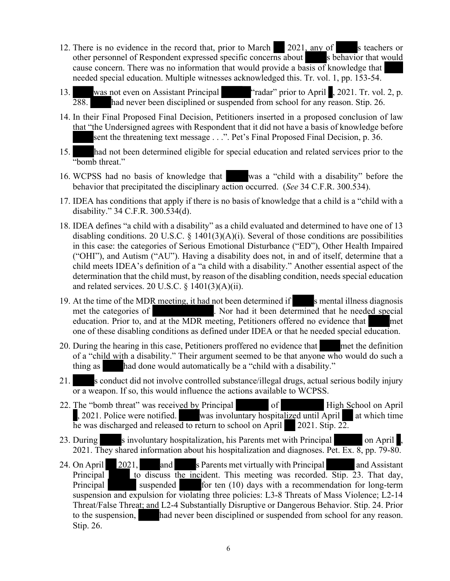- 12. There is no evidence in the record that, prior to March 2021, any of steachers or other personnel of Respondent expressed specific concerns about s behavior that would cause concern. There was no information that would provide a basis of knowledge that needed special education. Multiple witnesses acknowledged this. Tr. vol. 1, pp. 153-54.
- 13. was not even on Assistant Principal "radar" prior to April , 2021. Tr. vol. 2, p. 288. had never been disciplined or suspended from school for any reason. Stip. 26.
- 14. In their Final Proposed Final Decision, Petitioners inserted in a proposed conclusion of law that "the Undersigned agrees with Respondent that it did not have a basis of knowledge before sent the threatening text message . . .". Pet's Final Proposed Final Decision, p. 36.
- 15. had not been determined eligible for special education and related services prior to the "bomb threat."
- 16. WCPSS had no basis of knowledge that was a "child with a disability" before the behavior that precipitated the disciplinary action occurred. (*See* 34 C.F.R. 300.534).
- 17. IDEA has conditions that apply if there is no basis of knowledge that a child is a "child with a disability." 34 C.F.R. 300.534(d).
- 18. IDEA defines "a child with a disability" as a child evaluated and determined to have one of 13 disabling conditions. 20 U.S.C.  $\S$  1401(3)(A)(i). Several of those conditions are possibilities in this case: the categories of Serious Emotional Disturbance ("ED"), Other Health Impaired ("OHI"), and Autism ("AU"). Having a disability does not, in and of itself, determine that a child meets IDEA's definition of a "a child with a disability." Another essential aspect of the determination that the child must, by reason of the disabling condition, needs special education and related services. 20 U.S.C. § 1401(3)(A)(ii).
- 19. At the time of the MDR meeting, it had not been determined if s mental illness diagnosis met the categories of . Nor had it been determined that he needed special education. Prior to, and at the MDR meeting, Petitioners offered no evidence that met one of these disabling conditions as defined under IDEA or that he needed special education.
- 20. During the hearing in this case, Petitioners proffered no evidence that met the definition of a "child with a disability." Their argument seemed to be that anyone who would do such a thing as had done would automatically be a "child with a disability."
- 21. s conduct did not involve controlled substance/illegal drugs, actual serious bodily injury or a weapon. If so, this would influence the actions available to WCPSS.
- 22. The "bomb threat" was received by Principal of High School on April , 2021. Police were notified. was involuntary hospitalized until April at which time he was discharged and released to return to school on April 2021. Stip.  $2\overline{2}$ .
- 23. During s involuntary hospitalization, his Parents met with Principal on April, 2021. They shared information about his hospitalization and diagnoses. Pet. Ex.  $\overline{8}$ , pp. 79-80.
- 24. On April 2021, and s Parents met virtually with Principal and Assistant Principal to discuss the incident. This meeting was recorded. Stip. 23. That day, Principal suspended for ten (10) days with a recommendation for long-term suspension and expulsion for violating three policies: L3-8 Threats of Mass Violence; L2-14 Threat/False Threat; and L2-4 Substantially Disruptive or Dangerous Behavior. Stip. 24. Prior to the suspension, had never been disciplined or suspended from school for any reason. Stip. 26.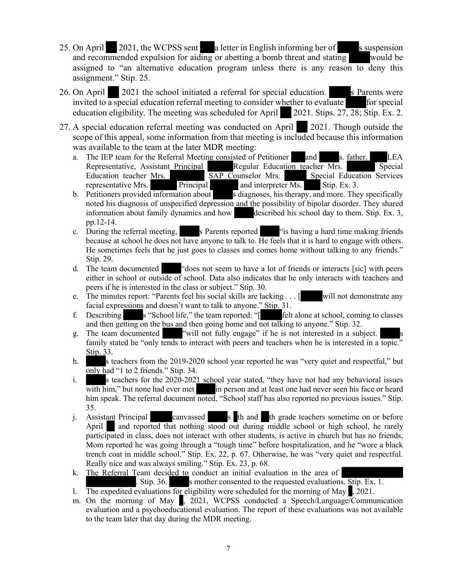- 25. On April 2021, the WCPSS sent a letter in English informing her of s suspension and recommended expulsion for aiding or abetting a bomb threat and stating would be assigned to "an alternative education program unless there is any reason to deny this assignment." Stip. 25.
- 26. On April 2021 the school initiated a referral for special education. S Parents were invited to a special education referral meeting to consider whether to evaluate for special education eligibility. The meeting was scheduled for April 2021. Stips.  $27, 28$ ; Stip. Ex. 2.
- 27. A special education referral meeting was conducted on April 2021. Though outside the scope of this appeal, some information from that meeting is included because this information was available to the team at the later MDR meeting:
	- a. The IEP team for the Referral Meeting consisted of Petitioner and s. father, LEA Representative, Assistant Principal Regular Education teacher Mrs. Special Education teacher Mrs. SAP Counselor Mrs. Special Education Services representative Mrs. Principal and interpreter Ms. Stip. Ex. 3.
	- b. Petitioners provided information about s diagnoses, his therapy, and more. They specifically noted his diagnosis of unspecified depression and the possibility of bipolar disorder. They shared information about family dynamics and how described his school day to them. Stip. Ex. 3, pp.12-14.
	- c. During the referral meeting, s Parents reported "is having a hard time making friends" because at school he does not have anyone to talk to. He feels that it is hard to engage with others. He sometimes feels that he just goes to classes and comes home without talking to any friends." Stip. 29.
	- d. The team documented "does not seem to have a lot of friends or interacts [sic] with peers either in school or outside of school. Data also indicates that he only interacts with teachers and peers if he is interested in the class or subject." Stip. 30.
	- e. The minutes report: "Parents feel his social skills are lacking . . . [ will not demonstrate any facial expressions and doesn't want to talk to anyone." Stip. 31.
	- f. Describing s "School life," the team reported: "[ felt alone at school, coming to classes and then getting on the bus and then going home and not talking to anyone." Stip. 32.
	- g. The team documented "will not fully engage" if he is not interested in a subject. family stated he "only tends to interact with peers and teachers when he is interested in a topic." Stip. 33.
	- h. s teachers from the 2019-2020 school year reported he was "very quiet and respectful," but only had "1 to 2 friends." Stip. 34.
	- i. s teachers for the 2020-2021 school year stated, "they have not had any behavioral issues with him," but none had ever met in person and at least one had never seen his face or heard him speak. The referral document noted, "School staff has also reported no previous issues." Stip. 35.
	- j. Assistant Principal canvassed s th and th grade teachers sometime on or before April and reported that nothing stood out during middle school or high school, he rarely participated in class, does not interact with other students, is active in church but has no friends, Mom reported he was going through a "tough time" before hospitalization, and he "wore a black trench coat in middle school." Stip. Ex. 22, p. 67. Otherwise, he was "very quiet and respectful. Really nice and was always smiling." Stip. Ex. 23, p. 68.
	- k. The Referral Team decided to conduct an initial evaluation in the area of . Stip. 36. s mother consented to the requested evaluations. Stip. Ex. 1.
	- l. The expedited evaluations for eligibility were scheduled for the morning of May , 2021.
	- m. On the morning of May , 2021, WCPSS conducted a Speech/Language/Communication evaluation and a psychoeducational evaluation. The report of these evaluations was not available to the team later that day during the MDR meeting.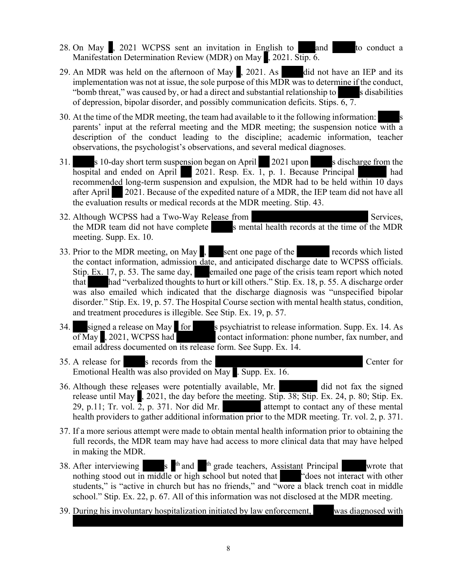- 28. On May , 2021 WCPSS sent an invitation in English to and to conduct a Manifestation Determination Review (MDR) on May , 2021. Stip. 6.
- 29. An MDR was held on the afternoon of May , 2021. As did not have an IEP and its implementation was not at issue, the sole purpose of this MDR was to determine if the conduct, "bomb threat," was caused by, or had a direct and substantial relationship to s disabilities of depression, bipolar disorder, and possibly communication deficits. Stips.  $\overline{6, 7}$ .
- 30. At the time of the MDR meeting, the team had available to it the following information: parents' input at the referral meeting and the MDR meeting; the suspension notice with a description of the conduct leading to the discipline; academic information, teacher observations, the psychologist's observations, and several medical diagnoses.
- 31. s 10-day short term suspension began on April 2021 upon s discharge from the hospital and ended on April 2021. Resp. Ex.  $\overline{1, p}$ . 1. Because Principal had recommended long-term suspension and expulsion, the MDR had to be held within 10 days after April 2021. Because of the expedited nature of a MDR, the IEP team did not have all the evaluation results or medical records at the MDR meeting. Stip. 43.
- 32. Although WCPSS had a Two-Way Release from Services, the MDR team did not have complete s mental health records at the time of the MDR meeting. Supp. Ex. 10.
- 33. Prior to the MDR meeting, on May, sent one page of the records which listed the contact information, admission date, and anticipated discharge date to WCPSS officials. Stip. Ex. 17, p. 53. The same day, emailed one page of the crisis team report which noted that had "verbalized thoughts to hurt or kill others." Stip. Ex. 18, p. 55. A discharge order was also emailed which indicated that the discharge diagnosis was "unspecified bipolar disorder." Stip. Ex. 19, p. 57. The Hospital Course section with mental health status, condition, and treatment procedures is illegible. See Stip. Ex. 19, p. 57.
- 34. signed a release on May for s psychiatrist to release information. Supp. Ex. 14. As of May , 2021, WCPSS had contact information: phone number, fax number, and email address documented on its release form. See Supp. Ex. 14.
- 35. A release for s records from the Center for Emotional Health was also provided on May . Supp. Ex. 16.
- 36. Although these releases were potentially available, Mr. did not fax the signed release until May , 2021, the day before the meeting. Stip. 38; Stip. Ex. 24, p. 80; Stip. Ex. 29, p.11; Tr. vol.  $\overline{2}$ , p. 371. Nor did Mr. attempt to contact any of these mental health providers to gather additional information prior to the MDR meeting. Tr. vol. 2, p. 371.
- 37. If a more serious attempt were made to obtain mental health information prior to obtaining the full records, the MDR team may have had access to more clinical data that may have helped in making the MDR.
- 38. After interviewing s  $\mathbb{R}^{\text{th}}$  and  $\mathbb{R}^{\text{th}}$  grade teachers, Assistant Principal wrote that nothing stood out in middle or high school but noted that "does not interact with other students," is "active in church but has no friends," and "wore a black trench coat in middle school." Stip. Ex. 22, p. 67. All of this information was not disclosed at the MDR meeting.
- 39. During his involuntary hospitalization initiated by law enforcement, was diagnosed with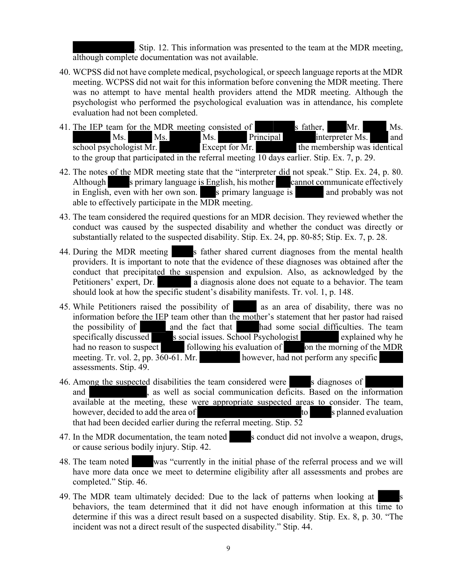. Stip. 12. This information was presented to the team at the MDR meeting, although complete documentation was not available.

- 40. WCPSS did not have complete medical, psychological, or speech language reports at the MDR meeting. WCPSS did not wait for this information before convening the MDR meeting. There was no attempt to have mental health providers attend the MDR meeting. Although the psychologist who performed the psychological evaluation was in attendance, his complete evaluation had not been completed.
- 41. The IEP team for the MDR meeting consisted of s father, Mr. Ms. Ms. Ms. Ms. Principal interpreter Ms. and school psychologist Mr. Except for Mr. the membership was identical to the group that participated in the referral meeting 10 days earlier. Stip. Ex. 7, p. 29.
- 42. The notes of the MDR meeting state that the "interpreter did not speak." Stip. Ex. 24, p. 80. Although s primary language is English, his mother cannot communicate effectively in English, even with her own son. s primary language is and probably was not able to effectively participate in the MDR meeting.
- 43. The team considered the required questions for an MDR decision. They reviewed whether the conduct was caused by the suspected disability and whether the conduct was directly or substantially related to the suspected disability. Stip. Ex. 24, pp. 80-85; Stip. Ex. 7, p. 28.
- 44. During the MDR meeting s father shared current diagnoses from the mental health providers. It is important to note that the evidence of these diagnoses was obtained after the conduct that precipitated the suspension and expulsion. Also, as acknowledged by the Petitioners' expert, Dr. a diagnosis alone does not equate to a behavior. The team should look at how the specific student's disability manifests. Tr. vol. 1, p. 148.
- 45. While Petitioners raised the possibility of as an area of disability, there was no information before the IEP team other than the mother's statement that her pastor had raised the possibility of and the fact that had some social difficulties. The team specifically discussed s social issues. School Psychologist explained why he had no reason to suspect following his evaluation of on the morning of the MDR meeting. Tr. vol. 2, pp. 360-61. Mr. however, had not perform any specific assessments. Stip. 49.
- 46. Among the suspected disabilities the team considered were s diagnoses of and , as well as social communication deficits. Based on the information available at the meeting, these were appropriate suspected areas to consider. The team, however, decided to add the area of the state of the splanned evaluation that had been decided earlier during the referral meeting. Stip. 52
- 47. In the MDR documentation, the team noted s conduct did not involve a weapon, drugs, or cause serious bodily injury. Stip. 42.
- 48. The team noted was "currently in the initial phase of the referral process and we will have more data once we meet to determine eligibility after all assessments and probes are completed." Stip. 46.
- 49. The MDR team ultimately decided: Due to the lack of patterns when looking at s behaviors, the team determined that it did not have enough information at this time to determine if this was a direct result based on a suspected disability. Stip. Ex. 8, p. 30. "The incident was not a direct result of the suspected disability." Stip. 44.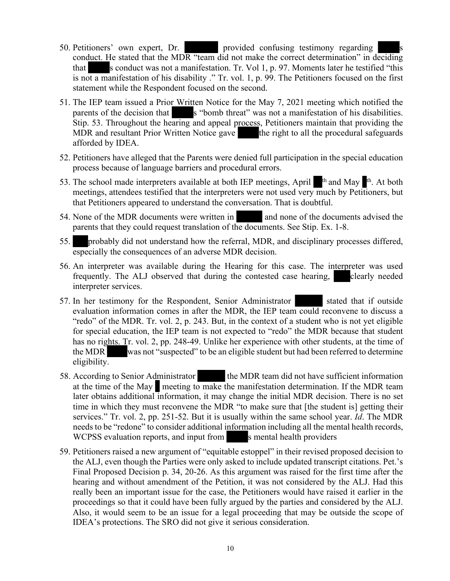- 50. Petitioners' own expert, Dr. provided confusing testimony regarding conduct. He stated that the MDR "team did not make the correct determination" in deciding that s conduct was not a manifestation. Tr. Vol 1, p. 97. Moments later he testified "this is not a manifestation of his disability ." Tr. vol. 1, p. 99. The Petitioners focused on the first statement while the Respondent focused on the second.
- 51. The IEP team issued a Prior Written Notice for the May 7, 2021 meeting which notified the parents of the decision that s "bomb threat" was not a manifestation of his disabilities. Stip. 53. Throughout the hearing and appeal process, Petitioners maintain that providing the MDR and resultant Prior Written Notice gave the right to all the procedural safeguards afforded by IDEA.
- 52. Petitioners have alleged that the Parents were denied full participation in the special education process because of language barriers and procedural errors.
- 53. The school made interpreters available at both IEP meetings, April  $\mathbb{R}^{\text{th}}$  and May  $\mathbb{R}^{\text{th}}$ . At both meetings, attendees testified that the interpreters were not used very much by Petitioners, but that Petitioners appeared to understand the conversation. That is doubtful.
- 54. None of the MDR documents were written in and none of the documents advised the parents that they could request translation of the documents. See Stip. Ex. 1-8.
- 55. probably did not understand how the referral, MDR, and disciplinary processes differed, especially the consequences of an adverse MDR decision.
- 56. An interpreter was available during the Hearing for this case. The interpreter was used frequently. The ALJ observed that during the contested case hearing, clearly needed interpreter services.
- 57. In her testimony for the Respondent, Senior Administrator stated that if outside evaluation information comes in after the MDR, the IEP team could reconvene to discuss a "redo" of the MDR. Tr. vol. 2, p. 243. But, in the context of a student who is not yet eligible for special education, the IEP team is not expected to "redo" the MDR because that student has no rights. Tr. vol. 2, pp. 248-49. Unlike her experience with other students, at the time of the MDR was not "suspected" to be an eligible student but had been referred to determine eligibility.
- 58. According to Senior Administrator the MDR team did not have sufficient information at the time of the May meeting to make the manifestation determination. If the MDR team later obtains additional information, it may change the initial MDR decision. There is no set time in which they must reconvene the MDR "to make sure that [the student is] getting their services." Tr. vol. 2, pp. 251-52. But it is usually within the same school year. *Id*. The MDR needs to be "redone" to consider additional information including all the mental health records, WCPSS evaluation reports, and input from s mental health providers
- 59. Petitioners raised a new argument of "equitable estoppel" in their revised proposed decision to the ALJ, even though the Parties were only asked to include updated transcript citations. Pet.'s Final Proposed Decision p. 34, 20-26. As this argument was raised for the first time after the hearing and without amendment of the Petition, it was not considered by the ALJ. Had this really been an important issue for the case, the Petitioners would have raised it earlier in the proceedings so that it could have been fully argued by the parties and considered by the ALJ. Also, it would seem to be an issue for a legal proceeding that may be outside the scope of IDEA's protections. The SRO did not give it serious consideration.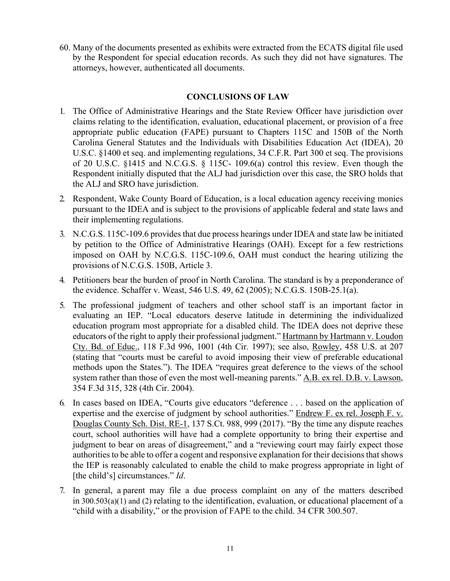60. Many of the documents presented as exhibits were extracted from the ECATS digital file used by the Respondent for special education records. As such they did not have signatures. The attorneys, however, authenticated all documents.

# **CONCLUSIONS OF LAW**

- 1. The Office of Administrative Hearings and the State Review Officer have jurisdiction over claims relating to the identification, evaluation, educational placement, or provision of a free appropriate public education (FAPE) pursuant to Chapters 115C and 150B of the North Carolina General Statutes and the Individuals with Disabilities Education Act (IDEA), 20 U.S.C. §1400 et seq. and implementing regulations, 34 C.F.R. Part 300 et seq. The provisions of 20 U.S.C. §1415 and N.C.G.S. § 115C- 109.6(a) control this review. Even though the Respondent initially disputed that the ALJ had jurisdiction over this case, the SRO holds that the ALJ and SRO have jurisdiction.
- 2. Respondent, Wake County Board of Education, is a local education agency receiving monies pursuant to the IDEA and is subject to the provisions of applicable federal and state laws and their implementing regulations.
- 3. N.C.G.S. 115C-109.6 provides that due process hearings under IDEA and state law be initiated by petition to the Office of Administrative Hearings (OAH). Except for a few restrictions imposed on OAH by N.C.G.S. 115C-109.6, OAH must conduct the hearing utilizing the provisions of N.C.G.S. 150B, Article 3.
- 4. Petitioners bear the burden of proof in North Carolina. The standard is by a preponderance of the evidence. Schaffer v. Weast, 546 U.S. 49, 62 (2005); N.C.G.S. 150B-25.1(a).
- 5. The professional judgment of teachers and other school staff is an important factor in evaluating an IEP. "Local educators deserve latitude in determining the individualized education program most appropriate for a disabled child. The IDEA does not deprive these educators of the right to apply their professional judgment." Hartmann by Hartmann v. Loudon Cty. Bd. of Educ., 118 F.3d 996, 1001 (4th Cir. 1997); see also, Rowley, 458 U.S. at 207 (stating that "courts must be careful to avoid imposing their view of preferable educational methods upon the States."). The IDEA "requires great deference to the views of the school system rather than those of even the most well-meaning parents." A.B. ex rel. D.B. v. Lawson, 354 F.3d 315, 328 (4th Cir. 2004).
- 6. In cases based on IDEA, "Courts give educators "deference . . . based on the application of expertise and the exercise of judgment by school authorities." Endrew F. ex rel. Joseph F. v. Douglas County Sch. Dist. RE-1, 137 S.Ct. 988, 999 (2017). "By the time any dispute reaches court, school authorities will have had a complete opportunity to bring their expertise and judgment to bear on areas of disagreement," and a "reviewing court may fairly expect those authorities to be able to offer a cogent and responsive explanation for their decisions that shows the IEP is reasonably calculated to enable the child to make progress appropriate in light of [the child's] circumstances." *Id*.
- 7. In general, a parent may file a due process complaint on any of the matters described in 300.503(a)(1) and (2) relating to the identification, evaluation, or educational placement of a "child with a disability," or the provision of FAPE to the child. 34 CFR 300.507.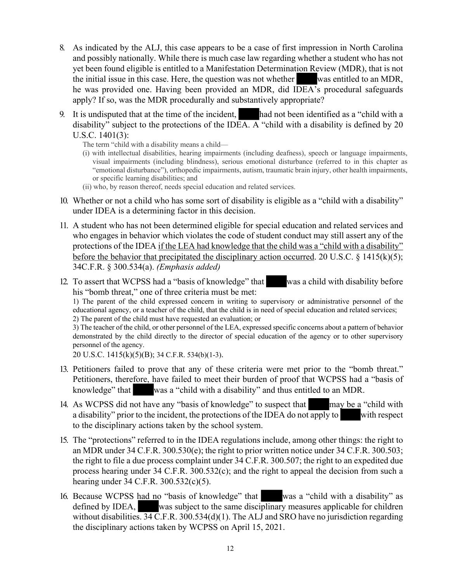- 8. As indicated by the ALJ, this case appears to be a case of first impression in North Carolina and possibly nationally. While there is much case law regarding whether a student who has not yet been found eligible is entitled to a Manifestation Determination Review (MDR), that is not the initial issue in this case. Here, the question was not whether was entitled to an MDR, he was provided one. Having been provided an MDR, did IDEA's procedural safeguards apply? If so, was the MDR procedurally and substantively appropriate?
- 9. It is undisputed that at the time of the incident, had not been identified as a "child with a disability" subject to the protections of the IDEA. A "child with a disability is defined by 20 U.S.C. 1401(3):

The term "child with a disability means a child—

- (i) with intellectual disabilities, hearing impairments (including deafness), speech or language impairments, visual impairments (including blindness), serious emotional disturbance (referred to in this chapter as "emotional disturbance"), orthopedic impairments, autism, traumatic brain injury, other health impairments, or specific learning disabilities; and
- (ii) who, by reason thereof, needs special education and related services.
- 10. Whether or not a child who has some sort of disability is eligible as a "child with a disability" under IDEA is a determining factor in this decision.
- 11. A student who has not been determined eligible for special education and related services and who engages in behavior which violates the code of student conduct may still assert any of the protections of the IDEA if the LEA had knowledge that the child was a "child with a disability" before the behavior that precipitated the disciplinary action occurred. 20 U.S.C. § 1415(k)(5); 34C.F.R. § 300.534(a). *(Emphasis added)*
- 12. To assert that WCPSS had a "basis of knowledge" that was a child with disability before his "bomb threat," one of three criteria must be met:

1) The parent of the child expressed concern in writing to supervisory or administrative personnel of the educational agency, or a teacher of the child, that the child is in need of special education and related services; 2) The parent of the child must have requested an evaluation; or

3) The teacher of the child, or other personnel of the LEA, expressed specific concerns about a pattern of behavior demonstrated by the child directly to the director of special education of the agency or to other supervisory personnel of the agency.

20 U.S.C. 1415(k)(5)(B); 34 C.F.R. 534(b)(1-3).

- 13. Petitioners failed to prove that any of these criteria were met prior to the "bomb threat." Petitioners, therefore, have failed to meet their burden of proof that WCPSS had a "basis of knowledge" that was a "child with a disability" and thus entitled to an MDR.
- 14. As WCPSS did not have any "basis of knowledge" to suspect that may be a "child with a disability" prior to the incident, the protections of the IDEA do not apply to with respect to the disciplinary actions taken by the school system.
- 15. The "protections" referred to in the IDEA regulations include, among other things: the right to an MDR under 34 C.F.R. 300.530(e); the right to prior written notice under 34 C.F.R. 300.503; the right to file a due process complaint under 34 C.F.R. 300.507; the right to an expedited due process hearing under 34 C.F.R. 300.532(c); and the right to appeal the decision from such a hearing under 34 C.F.R. 300.532(c)(5).
- 16. Because WCPSS had no "basis of knowledge" that was a "child with a disability" as defined by IDEA, was subject to the same disciplinary measures applicable for children without disabilities. 34 C.F.R. 300.534(d)(1). The ALJ and SRO have no jurisdiction regarding the disciplinary actions taken by WCPSS on April 15, 2021.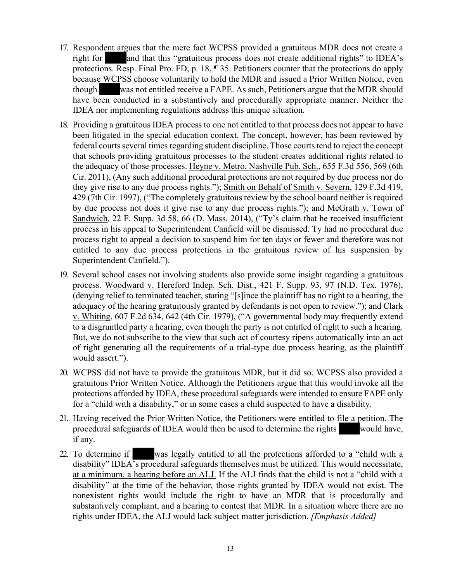- 17. Respondent argues that the mere fact WCPSS provided a gratuitous MDR does not create a right for and that this "gratuitous process does not create additional rights" to IDEA's protections. Resp. Final Pro. FD, p. 18, ¶ 35. Petitioners counter that the protections do apply because WCPSS choose voluntarily to hold the MDR and issued a Prior Written Notice, even though was not entitled receive a FAPE. As such, Petitioners argue that the MDR should have been conducted in a substantively and procedurally appropriate manner. Neither the IDEA nor implementing regulations address this unique situation.
- 18. Providing a gratuitous IDEA process to one not entitled to that process does not appear to have been litigated in the special education context. The concept, however, has been reviewed by federal courts several times regarding student discipline. Those courts tend to reject the concept that schools providing gratuitous processes to the student creates additional rights related to the adequacy of those processes. Heyne v. Metro. Nashville Pub. Sch., 655 F.3d 556, 569 (6th Cir. 2011), (Any such additional procedural protections are not required by due process nor do they give rise to any due process rights."); Smith on Behalf of Smith v. Severn, 129 F.3d 419, 429 (7th Cir. 1997), ("The completely gratuitous review by the school board neither is required by due process not does it give rise to any due process rights."); and McGrath v. Town of Sandwich, 22 F. Supp. 3d 58, 66 (D. Mass. 2014), ("Ty's claim that he received insufficient process in his appeal to Superintendent Canfield will be dismissed. Ty had no procedural due process right to appeal a decision to suspend him for ten days or fewer and therefore was not entitled to any due process protections in the gratuitous review of his suspension by Superintendent Canfield.").
- 19. Several school cases not involving students also provide some insight regarding a gratuitous process. Woodward v. Hereford Indep. Sch. Dist., 421 F. Supp. 93, 97 (N.D. Tex. 1976), (denying relief to terminated teacher, stating "[s]ince the plaintiff has no right to a hearing, the adequacy of the hearing gratuitously granted by defendants is not open to review."); and Clark v. Whiting, 607 F.2d 634, 642 (4th Cir. 1979), ("A governmental body may frequently extend to a disgruntled party a hearing, even though the party is not entitled of right to such a hearing. But, we do not subscribe to the view that such act of courtesy ripens automatically into an act of right generating all the requirements of a trial-type due process hearing, as the plaintiff would assert.").
- 20. WCPSS did not have to provide the gratuitous MDR, but it did so. WCPSS also provided a gratuitous Prior Written Notice. Although the Petitioners argue that this would invoke all the protections afforded by IDEA, these procedural safeguards were intended to ensure FAPE only for a "child with a disability," or in some cases a child suspected to have a disability.
- 21. Having received the Prior Written Notice, the Petitioners were entitled to file a petition. The procedural safeguards of IDEA would then be used to determine the rights would have, if any.
- 22. To determine if was legally entitled to all the protections afforded to a "child with a disability" IDEA's procedural safeguards themselves must be utilized. This would necessitate, at a minimum, a hearing before an ALJ. If the ALJ finds that the child is not a "child with a disability" at the time of the behavior, those rights granted by IDEA would not exist. The nonexistent rights would include the right to have an MDR that is procedurally and substantively compliant, and a hearing to contest that MDR. In a situation where there are no rights under IDEA, the ALJ would lack subject matter jurisdiction. *[Emphasis Added]*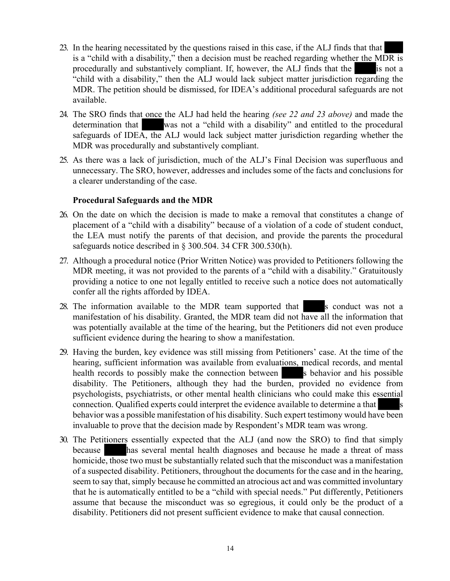- 23. In the hearing necessitated by the questions raised in this case, if the ALJ finds that that is a "child with a disability," then a decision must be reached regarding whether the MDR is procedurally and substantively compliant. If, however, the ALJ finds that the is not a "child with a disability," then the ALJ would lack subject matter jurisdiction regarding the MDR. The petition should be dismissed, for IDEA's additional procedural safeguards are not available.
- 24. The SRO finds that once the ALJ had held the hearing *(see 22 and 23 above)* and made the determination that was not a "child with a disability" and entitled to the procedural safeguards of IDEA, the ALJ would lack subject matter jurisdiction regarding whether the MDR was procedurally and substantively compliant.
- 25. As there was a lack of jurisdiction, much of the ALJ's Final Decision was superfluous and unnecessary. The SRO, however, addresses and includes some of the facts and conclusions for a clearer understanding of the case.

# **Procedural Safeguards and the MDR**

- 26. On the date on which the decision is made to make a removal that constitutes a change of placement of a "child with a disability" because of a violation of a code of student conduct, the LEA must notify the parents of that decision, and provide the parents the procedural safeguards notice described in § 300.504. 34 CFR 300.530(h).
- 27. Although a procedural notice (Prior Written Notice) was provided to Petitioners following the MDR meeting, it was not provided to the parents of a "child with a disability." Gratuitously providing a notice to one not legally entitled to receive such a notice does not automatically confer all the rights afforded by IDEA.
- 28. The information available to the MDR team supported that s conduct was not a manifestation of his disability. Granted, the MDR team did not have all the information that was potentially available at the time of the hearing, but the Petitioners did not even produce sufficient evidence during the hearing to show a manifestation.
- 29. Having the burden, key evidence was still missing from Petitioners' case. At the time of the hearing, sufficient information was available from evaluations, medical records, and mental health records to possibly make the connection between s behavior and his possible disability. The Petitioners, although they had the burden, provided no evidence from psychologists, psychiatrists, or other mental health clinicians who could make this essential connection. Qualified experts could interpret the evidence available to determine a that behavior was a possible manifestation of his disability. Such expert testimony would have been invaluable to prove that the decision made by Respondent's MDR team was wrong.
- 30. The Petitioners essentially expected that the ALJ (and now the SRO) to find that simply because has several mental health diagnoses and because he made a threat of mass homicide, those two must be substantially related such that the misconduct was a manifestation of a suspected disability. Petitioners, throughout the documents for the case and in the hearing, seem to say that, simply because he committed an atrocious act and was committed involuntary that he is automatically entitled to be a "child with special needs." Put differently, Petitioners assume that because the misconduct was so egregious, it could only be the product of a disability. Petitioners did not present sufficient evidence to make that causal connection.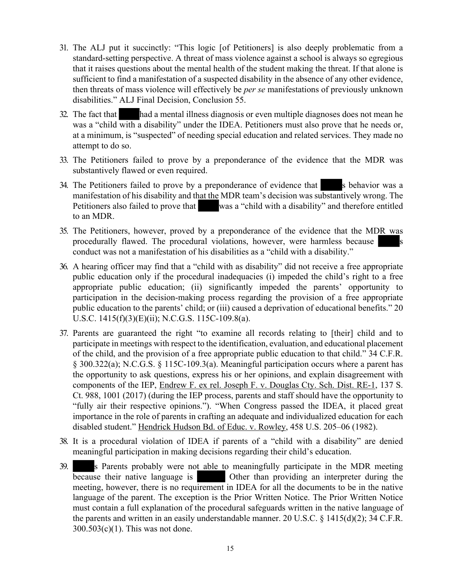- 31. The ALJ put it succinctly: "This logic [of Petitioners] is also deeply problematic from a standard-setting perspective. A threat of mass violence against a school is always so egregious that it raises questions about the mental health of the student making the threat. If that alone is sufficient to find a manifestation of a suspected disability in the absence of any other evidence, then threats of mass violence will effectively be *per se* manifestations of previously unknown disabilities." ALJ Final Decision, Conclusion 55.
- 32. The fact that had a mental illness diagnosis or even multiple diagnoses does not mean he was a "child with a disability" under the IDEA. Petitioners must also prove that he needs or, at a minimum, is "suspected" of needing special education and related services. They made no attempt to do so.
- 33. The Petitioners failed to prove by a preponderance of the evidence that the MDR was substantively flawed or even required.
- 34. The Petitioners failed to prove by a preponderance of evidence that s behavior was a manifestation of his disability and that the MDR team's decision was substantively wrong. The Petitioners also failed to prove that was a "child with a disability" and therefore entitled to an MDR.
- 35. The Petitioners, however, proved by a preponderance of the evidence that the MDR was procedurally flawed. The procedural violations, however, were harmless because conduct was not a manifestation of his disabilities as a "child with a disability."
- 36. A hearing officer may find that a "child with as disability" did not receive a free appropriate public education only if the procedural inadequacies (i) impeded the child's right to a free appropriate public education; (ii) significantly impeded the parents' opportunity to participation in the decision-making process regarding the provision of a free appropriate public education to the parents' child; or (iii) caused a deprivation of educational benefits." 20 U.S.C. 1415(f)(3)(E)(ii); N.C.G.S. 115C-109.8(a).
- 37. Parents are guaranteed the right "to examine all records relating to [their] child and to participate in meetings with respect to the identification, evaluation, and educational placement of the child, and the provision of a free appropriate public education to that child." 34 C.F.R. § 300.322(a); N.C.G.S. § 115C-109.3(a). Meaningful participation occurs where a parent has the opportunity to ask questions, express his or her opinions, and explain disagreement with components of the IEP, Endrew F. ex rel. Joseph F. v. Douglas Cty. Sch. Dist. RE-1, 137 S. Ct. 988, 1001 (2017) (during the IEP process, parents and staff should have the opportunity to "fully air their respective opinions."). "When Congress passed the IDEA, it placed great importance in the role of parents in crafting an adequate and individualized education for each disabled student." Hendrick Hudson Bd. of Educ. v. Rowley, 458 U.S. 205–06 (1982).
- 38. It is a procedural violation of IDEA if parents of a "child with a disability" are denied meaningful participation in making decisions regarding their child's education.
- 39. S Parents probably were not able to meaningfully participate in the MDR meeting because their native language is Other than providing an interpreter during the meeting, however, there is no requirement in IDEA for all the documents to be in the native language of the parent. The exception is the Prior Written Notice. The Prior Written Notice must contain a full explanation of the procedural safeguards written in the native language of the parents and written in an easily understandable manner. 20 U.S.C. § 1415(d)(2); 34 C.F.R. 300.503(c)(1). This was not done.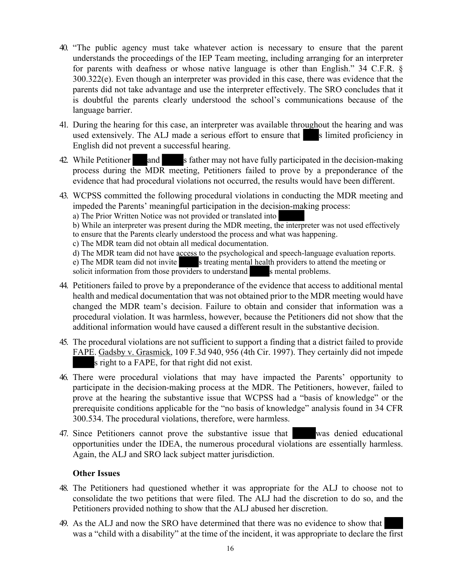- 40. "The public agency must take whatever action is necessary to ensure that the parent understands the proceedings of the IEP Team meeting, including arranging for an interpreter for parents with deafness or whose native language is other than English." 34 C.F.R. § 300.322(e). Even though an interpreter was provided in this case, there was evidence that the parents did not take advantage and use the interpreter effectively. The SRO concludes that it is doubtful the parents clearly understood the school's communications because of the language barrier.
- 41. During the hearing for this case, an interpreter was available throughout the hearing and was used extensively. The ALJ made a serious effort to ensure that s limited proficiency in English did not prevent a successful hearing.
- 42. While Petitioner and s father may not have fully participated in the decision-making process during the MDR meeting, Petitioners failed to prove by a preponderance of the evidence that had procedural violations not occurred, the results would have been different.
- 43. WCPSS committed the following procedural violations in conducting the MDR meeting and impeded the Parents' meaningful participation in the decision-making process:
	- a) The Prior Written Notice was not provided or translated into

b) While an interpreter was present during the MDR meeting, the interpreter was not used effectively to ensure that the Parents clearly understood the process and what was happening.

- c) The MDR team did not obtain all medical documentation.
- d) The MDR team did not have access to the psychological and speech-language evaluation reports.
- e) The MDR team did not invite s treating mental health providers to attend the meeting or

solicit information from those providers to understand  $\blacksquare$  s mental problems.

- 44. Petitioners failed to prove by a preponderance of the evidence that access to additional mental health and medical documentation that was not obtained prior to the MDR meeting would have changed the MDR team's decision. Failure to obtain and consider that information was a procedural violation. It was harmless, however, because the Petitioners did not show that the additional information would have caused a different result in the substantive decision.
- 45. The procedural violations are not sufficient to support a finding that a district failed to provide FAPE. Gadsby v. Grasmick, 109 F.3d 940, 956 (4th Cir. 1997). They certainly did not impede s right to a FAPE, for that right did not exist.
- 46. There were procedural violations that may have impacted the Parents' opportunity to participate in the decision-making process at the MDR. The Petitioners, however, failed to prove at the hearing the substantive issue that WCPSS had a "basis of knowledge" or the prerequisite conditions applicable for the "no basis of knowledge" analysis found in 34 CFR 300.534. The procedural violations, therefore, were harmless.
- 47. Since Petitioners cannot prove the substantive issue that was denied educational opportunities under the IDEA, the numerous procedural violations are essentially harmless. Again, the ALJ and SRO lack subject matter jurisdiction.

# **Other Issues**

- 48. The Petitioners had questioned whether it was appropriate for the ALJ to choose not to consolidate the two petitions that were filed. The ALJ had the discretion to do so, and the Petitioners provided nothing to show that the ALJ abused her discretion.
- 49. As the ALJ and now the SRO have determined that there was no evidence to show that was a "child with a disability" at the time of the incident, it was appropriate to declare the first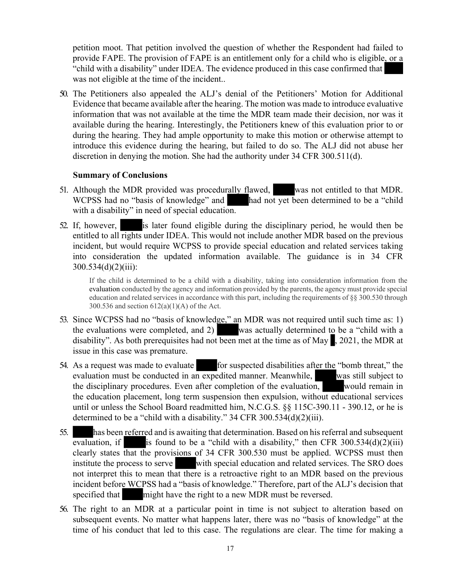petition moot. That petition involved the question of whether the Respondent had failed to provide FAPE. The provision of FAPE is an entitlement only for a child who is eligible, or a "child with a disability" under IDEA. The evidence produced in this case confirmed that was not eligible at the time of the incident..

50. The Petitioners also appealed the ALJ's denial of the Petitioners' Motion for Additional Evidence that became available after the hearing. The motion was made to introduce evaluative information that was not available at the time the MDR team made their decision, nor was it available during the hearing. Interestingly, the Petitioners knew of this evaluation prior to or during the hearing. They had ample opportunity to make this motion or otherwise attempt to introduce this evidence during the hearing, but failed to do so. The ALJ did not abuse her discretion in denying the motion. She had the authority under 34 CFR 300.511(d).

## **Summary of Conclusions**

- 51. Although the MDR provided was procedurally flawed, was not entitled to that MDR. WCPSS had no "basis of knowledge" and had not yet been determined to be a "child" with a disability" in need of special education.
- 52. If, however, is later found eligible during the disciplinary period, he would then be entitled to all rights under IDEA. This would not include another MDR based on the previous incident, but would require WCPSS to provide special education and related services taking into consideration the updated information available. The guidance is in 34 CFR  $300.534(d)(2)(iii)$ :

If the child is determined to be a child with a disability, taking into consideration information from the evaluation conducted by the agency and information provided by the parents, the agency must provide special education and related services in accordance with this part, including the requirements of §§ 300.530 through 300.536 and section  $612(a)(1)(A)$  of the Act.

- 53. Since WCPSS had no "basis of knowledge," an MDR was not required until such time as: 1) the evaluations were completed, and 2) was actually determined to be a "child with a disability". As both prerequisites had not been met at the time as of May , 2021, the MDR at issue in this case was premature.
- 54. As a request was made to evaluate for suspected disabilities after the "bomb threat," the evaluation must be conducted in an expedited manner. Meanwhile, was still subject to the disciplinary procedures. Even after completion of the evaluation, would remain in the education placement, long term suspension then expulsion, without educational services until or unless the School Board readmitted him, N.C.G.S. §§ 115C-390.11 - 390.12, or he is determined to be a "child with a disability." 34 CFR 300.534(d)(2)(iii).
- 55. has been referred and is awaiting that determination. Based on his referral and subsequent evaluation, if is found to be a "child with a disability," then CFR  $300.534(d)(2)(iii)$ clearly states that the provisions of 34 CFR 300.530 must be applied. WCPSS must then institute the process to serve with special education and related services. The SRO does not interpret this to mean that there is a retroactive right to an MDR based on the previous incident before WCPSS had a "basis of knowledge." Therefore, part of the ALJ's decision that specified that might have the right to a new MDR must be reversed.
- 56. The right to an MDR at a particular point in time is not subject to alteration based on subsequent events. No matter what happens later, there was no "basis of knowledge" at the time of his conduct that led to this case. The regulations are clear. The time for making a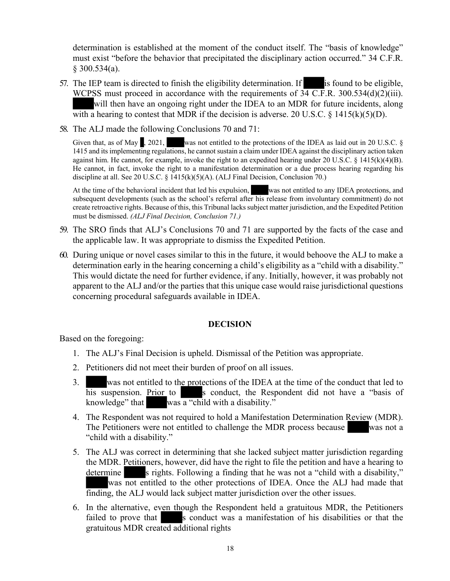determination is established at the moment of the conduct itself. The "basis of knowledge" must exist "before the behavior that precipitated the disciplinary action occurred." 34 C.F.R. § 300.534(a).

- 57. The IEP team is directed to finish the eligibility determination. If is found to be eligible, WCPSS must proceed in accordance with the requirements of  $34 \text{ C.F.R. } 300.534(d)(2)(iii)$ . will then have an ongoing right under the IDEA to an MDR for future incidents, along with a hearing to contest that MDR if the decision is adverse. 20 U.S.C.  $\S$  1415(k)(5)(D).
- 58. The ALJ made the following Conclusions 70 and 71:

Given that, as of May , 2021, was not entitled to the protections of the IDEA as laid out in 20 U.S.C. § 1415 and its implementing regulations, he cannot sustain a claim under IDEA against the disciplinary action taken against him. He cannot, for example, invoke the right to an expedited hearing under 20 U.S.C. § 1415(k)(4)(B). He cannot, in fact, invoke the right to a manifestation determination or a due process hearing regarding his discipline at all. See 20 U.S.C. § 1415(k)(5)(A). (ALJ Final Decision, Conclusion 70.)

At the time of the behavioral incident that led his expulsion, was not entitled to any IDEA protections, and subsequent developments (such as the school's referral after his release from involuntary commitment) do not create retroactive rights. Because of this, this Tribunal lacks subject matter jurisdiction, and the Expedited Petition must be dismissed. *(ALJ Final Decision, Conclusion 71.)*

- 59. The SRO finds that ALJ's Conclusions 70 and 71 are supported by the facts of the case and the applicable law. It was appropriate to dismiss the Expedited Petition.
- 60. During unique or novel cases similar to this in the future, it would behoove the ALJ to make a determination early in the hearing concerning a child's eligibility as a "child with a disability." This would dictate the need for further evidence, if any. Initially, however, it was probably not apparent to the ALJ and/or the parties that this unique case would raise jurisdictional questions concerning procedural safeguards available in IDEA.

## **DECISION**

Based on the foregoing:

- 1. The ALJ's Final Decision is upheld. Dismissal of the Petition was appropriate.
- 2. Petitioners did not meet their burden of proof on all issues.
- 3. was not entitled to the protections of the IDEA at the time of the conduct that led to his suspension. Prior to s conduct, the Respondent did not have a "basis of knowledge" that was a "child with a disability."
- 4. The Respondent was not required to hold a Manifestation Determination Review (MDR). The Petitioners were not entitled to challenge the MDR process because was not a "child with a disability."
- 5. The ALJ was correct in determining that she lacked subject matter jurisdiction regarding the MDR. Petitioners, however, did have the right to file the petition and have a hearing to determine s rights. Following a finding that he was not a "child with a disability," was not entitled to the other protections of IDEA. Once the ALJ had made that finding, the ALJ would lack subject matter jurisdiction over the other issues.
- 6. In the alternative, even though the Respondent held a gratuitous MDR, the Petitioners failed to prove that s conduct was a manifestation of his disabilities or that the gratuitous MDR created additional rights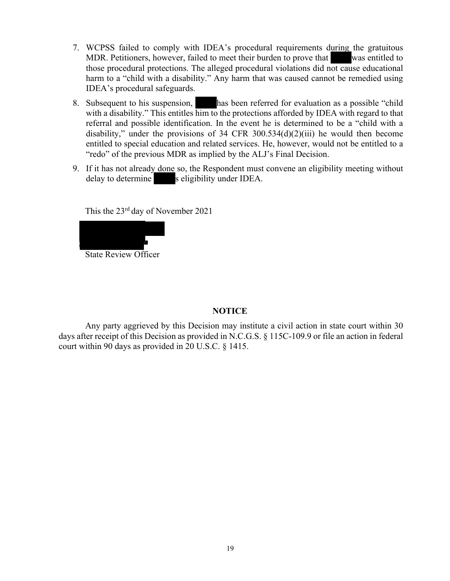- 7. WCPSS failed to comply with IDEA's procedural requirements during the gratuitous MDR. Petitioners, however, failed to meet their burden to prove that was entitled to those procedural protections. The alleged procedural violations did not cause educational harm to a "child with a disability." Any harm that was caused cannot be remedied using IDEA's procedural safeguards.
- 8. Subsequent to his suspension, has been referred for evaluation as a possible "child with a disability." This entitles him to the protections afforded by IDEA with regard to that referral and possible identification. In the event he is determined to be a "child with a disability," under the provisions of 34 CFR 300.534 $(d)(2)(iii)$  he would then become entitled to special education and related services. He, however, would not be entitled to a "redo" of the previous MDR as implied by the ALJ's Final Decision.
- 9. If it has not already done so, the Respondent must convene an eligibility meeting without delay to determine s eligibility under IDEA.

This the 23rd day of November 2021



State Review Officer

# **NOTICE**

Any party aggrieved by this Decision may institute a civil action in state court within 30 days after receipt of this Decision as provided in N.C.G.S. § 115C-109.9 or file an action in federal court within 90 days as provided in 20 U.S.C. § 1415.